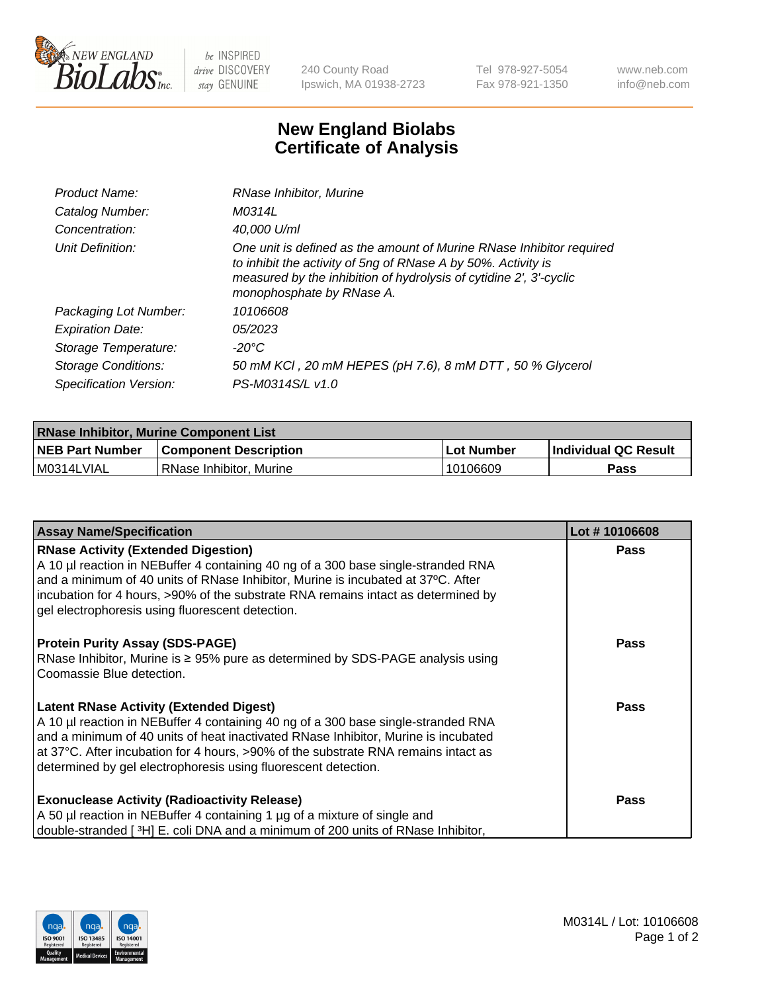

 $be$  INSPIRED drive DISCOVERY stay GENUINE

240 County Road Ipswich, MA 01938-2723 Tel 978-927-5054 Fax 978-921-1350 www.neb.com info@neb.com

## **New England Biolabs Certificate of Analysis**

| Product Name:           | RNase Inhibitor, Murine                                                                                                                                                                                                                  |
|-------------------------|------------------------------------------------------------------------------------------------------------------------------------------------------------------------------------------------------------------------------------------|
| Catalog Number:         | M0314L                                                                                                                                                                                                                                   |
| Concentration:          | 40,000 U/ml                                                                                                                                                                                                                              |
| Unit Definition:        | One unit is defined as the amount of Murine RNase Inhibitor required<br>to inhibit the activity of 5ng of RNase A by 50%. Activity is<br>measured by the inhibition of hydrolysis of cytidine 2', 3'-cyclic<br>monophosphate by RNase A. |
| Packaging Lot Number:   | 10106608                                                                                                                                                                                                                                 |
| <b>Expiration Date:</b> | 05/2023                                                                                                                                                                                                                                  |
| Storage Temperature:    | -20°C                                                                                                                                                                                                                                    |
| Storage Conditions:     | 50 mM KCI, 20 mM HEPES (pH 7.6), 8 mM DTT, 50 % Glycerol                                                                                                                                                                                 |
| Specification Version:  | PS-M0314S/L v1.0                                                                                                                                                                                                                         |

| <b>RNase Inhibitor, Murine Component List</b> |                              |              |                             |  |
|-----------------------------------------------|------------------------------|--------------|-----------------------------|--|
| <b>NEB Part Number</b>                        | <b>Component Description</b> | l Lot Number | <b>Individual QC Result</b> |  |
| M0314LVIAL                                    | l RNase Inhibitor. Murine    | 10106609     | Pass                        |  |

| <b>Assay Name/Specification</b>                                                                                                                                                                                           | Lot #10106608 |
|---------------------------------------------------------------------------------------------------------------------------------------------------------------------------------------------------------------------------|---------------|
| <b>RNase Activity (Extended Digestion)</b><br>A 10 µl reaction in NEBuffer 4 containing 40 ng of a 300 base single-stranded RNA                                                                                           | <b>Pass</b>   |
| and a minimum of 40 units of RNase Inhibitor, Murine is incubated at 37°C. After<br>incubation for 4 hours, >90% of the substrate RNA remains intact as determined by<br>gel electrophoresis using fluorescent detection. |               |
| <b>Protein Purity Assay (SDS-PAGE)</b>                                                                                                                                                                                    | <b>Pass</b>   |
| RNase Inhibitor, Murine is ≥ 95% pure as determined by SDS-PAGE analysis using<br>Coomassie Blue detection.                                                                                                               |               |
|                                                                                                                                                                                                                           |               |
| <b>Latent RNase Activity (Extended Digest)</b>                                                                                                                                                                            | Pass          |
| A 10 µl reaction in NEBuffer 4 containing 40 ng of a 300 base single-stranded RNA<br>and a minimum of 40 units of heat inactivated RNase Inhibitor, Murine is incubated                                                   |               |
| at 37°C. After incubation for 4 hours, >90% of the substrate RNA remains intact as                                                                                                                                        |               |
| determined by gel electrophoresis using fluorescent detection.                                                                                                                                                            |               |
| <b>Exonuclease Activity (Radioactivity Release)</b>                                                                                                                                                                       | Pass          |
| A 50 µl reaction in NEBuffer 4 containing 1 µg of a mixture of single and                                                                                                                                                 |               |
| double-stranded [3H] E. coli DNA and a minimum of 200 units of RNase Inhibitor,                                                                                                                                           |               |